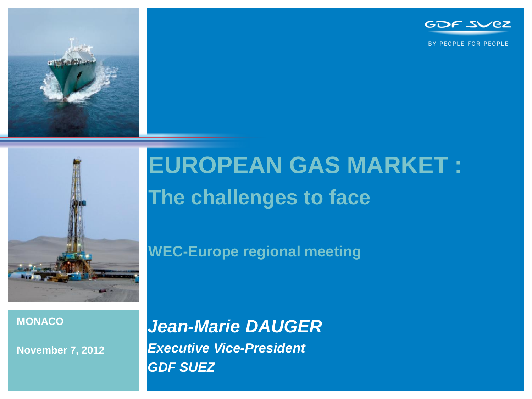

BY PEOPLE FOR PEOPLE





# **EUROPEAN GAS MARKET : The challenges to face**

**WEC-Europe regional meeting**

#### **MONACO**

**November 7, 2012**

*Jean-Marie DAUGER Executive Vice-President GDF SUEZ*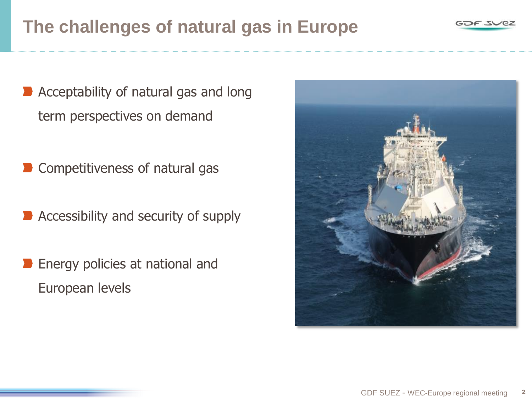### **The challenges of natural gas in Europe**

- Acceptability of natural gas and long term perspectives on demand
- Competitiveness of natural gas
- Accessibility and security of supply
- Energy policies at national and European levels



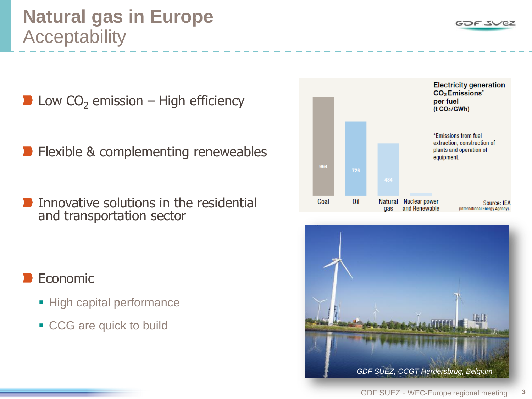Low  $CO<sub>2</sub>$  emission – High efficiency

- Flexible & complementing reneweables
- Innovative solutions in the residential and transportation sector

### Economic

- **High capital performance**
- CCG are quick to build





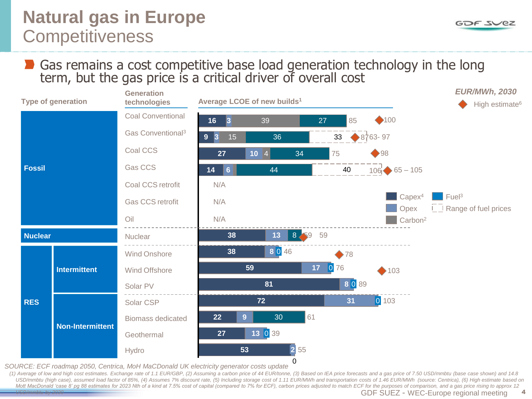GOF SVEZ

#### Gas remains a cost competitive base load generation technology in the long term, but the gas price is a critical driver of overall cost



*SOURCE: ECF roadmap 2050, Centrica, MoH MaCDonald UK electricity generator costs update* 

(1) Average of low and high cost estimates. Exchange rate of 1.1 EUR/GBP, (2) Assuming a carbon price of 44 EUR/tonne, (3) Based on IEA price forecasts and a gas price of 7.50 USD/mmbtu (base case shown) and 14.8 USD/mmbtu (high case), assumed load factor of 85%, (4) Assumes 7% discount rate, (5) Including storage cost of 1.11 EUR/MWh and transportation costs of 1.46 EUR/MWh (source: Centrica), (6) High estimate based on Mott MacDonald 'case 8' pg 88 estimates for 2023 Nth of a kind at 7.5% cost of capital (compared to 7% for ECF), carbon prices adjusted to match ECF for the purposes of comparison, and a gas price rising to approx 12 *USD/mmbtu by 2030*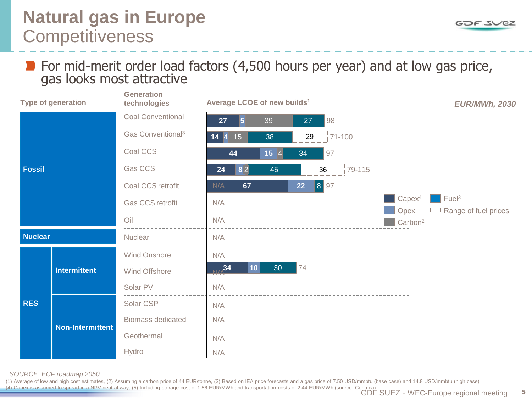#### GOF SVEZ

#### For mid-merit order load factors (4,500 hours per year) and at low gas price, gas looks most attractive



*SOURCE: ECF roadmap 2050*

(1) Average of low and high cost estimates, (2) Assuming a carbon price of 44 EUR/tonne, (3) Based on IEA price forecasts and a gas price of 7.50 USD/mmbtu (base case) and 14.8 USD/mmbtu (high case) (4) Capex is assumed to spread in a NPV neutral way, (5) Including storage cost of 1.56 EUR/MWh and transportation costs of 2.44 EUR/MWh (source: Centrica)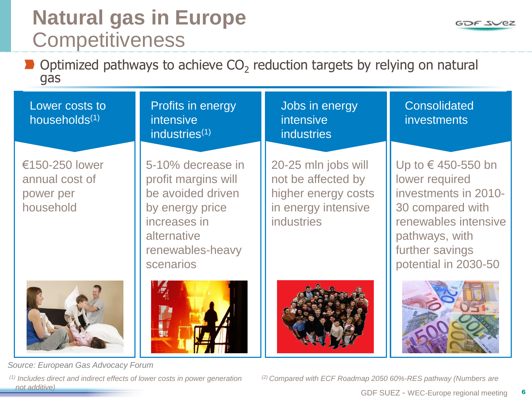Profits in energy

5-10% decrease in

profit margins will be avoided driven

by energy price

renewables-heavy

increases in

alternative

scenarios

intensive

industries<sup>(1)</sup>

Optimized pathways to achieve  $CO_2$  reduction targets by relying on natural gas

Lower costs to households(1)

€150-250 lower annual cost of power per household



*Source: European Gas Advocacy Forum*

*(1) Includes direct and indirect effects of lower costs in power generation (2) Compared with ECF Roadmap 2050 60%-RES pathway (Numbers are not additive)*

Jobs in energy intensive industries

20-25 mln jobs will not be affected by higher energy costs in energy intensive industries

**Consolidated** investments

Up to € 450-550 bn lower required investments in 2010- 30 compared with renewables intensive pathways, with further savings potential in 2030-50





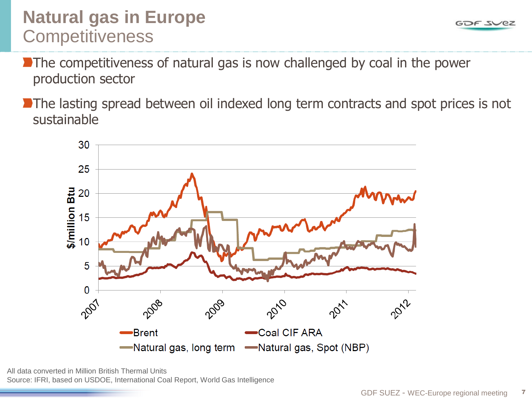- The competitiveness of natural gas is now challenged by coal in the power production sector
- The lasting spread between oil indexed long term contracts and spot prices is not sustainable



All data converted in Million British Thermal Units Source: IFRI, based on USDOE, International Coal Report, World Gas Intelligence GOF SVEZ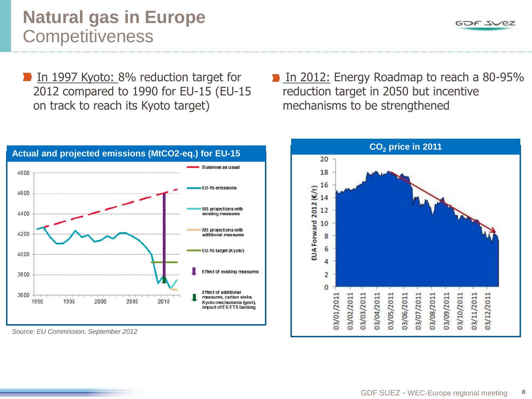GOF SVEZ

### **Natural gas in Europe Competitiveness**

- In 1997 Kyoto: 8% reduction target for 2012 compared to 1990 for EU-15 (EU-15 on track to reach its Kyoto target)
- **In 2012: Energy Roadmap to reach a 80-95%** reduction target in 2050 but incentive mechanisms to be strengthened



*Source: EU Commission, September 2012*

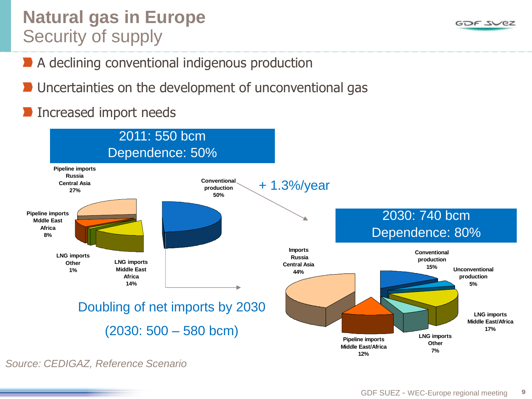### **Natural gas in Europe** Security of supply

- A declining conventional indigenous production
- Uncertainties on the development of unconventional gas
- Increased import needs



GOF SVEZ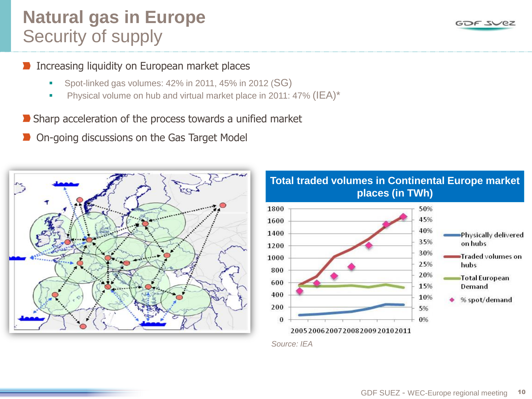### **Natural gas in Europe** Security of supply

#### Increasing liquidity on European market places

- Spot-linked gas volumes: 42% in 2011, 45% in 2012 (SG)
- **Physical volume on hub and virtual market place in 2011: 47% (IEA)\***
- Sharp acceleration of the process towards a unified market
- On-going discussions on the Gas Target Model





### **Total traded volumes in Continental Europe market places (in TWh)**

*Source: IEA*

GOF SVEZ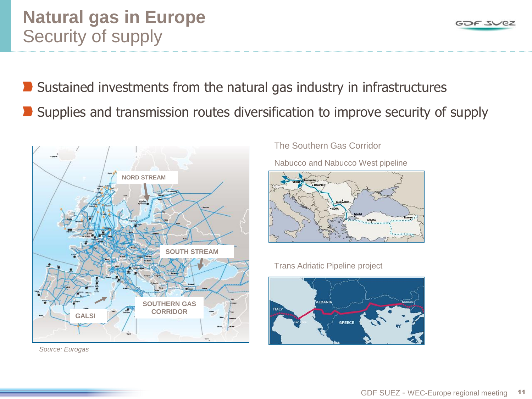#### GDF SUEZ - WEC-Europe regional meeting 11

### **Natural gas in Europe** Security of supply

- Sustained investments from the natural gas industry in infrastructures
- Supplies and transmission routes diversification to improve security of supply



*Source: Eurogas*

The Southern Gas Corridor

Nabucco and Nabucco West pipeline



Trans Adriatic Pipeline project



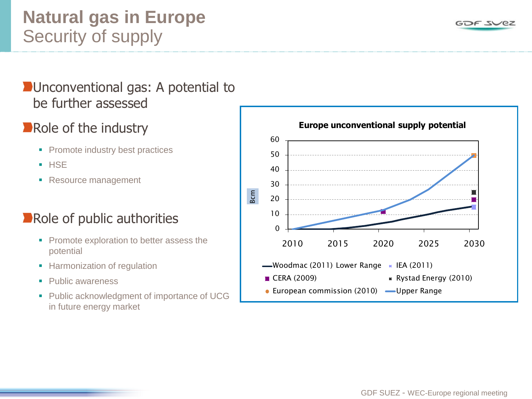### **Natural gas in Europe** Security of supply

### **D**Unconventional gas: A potential to be further assessed

### Role of the industry

- Promote industry best practices
- **HSE**
- Resource management

### **Role of public authorities**

- **Promote exploration to better assess the** potential
- **Harmonization of regulation**
- Public awareness
- **Public acknowledgment of importance of UCG** in future energy market ■ Promote exploration to better assess the<br>potential<br>■ Harmonization of regulation<br>■ Public awareness<br>■ Public acknowledgment of importance of UCG<br>■ Lue in future energy market<br>Notes:<br>In future energy market



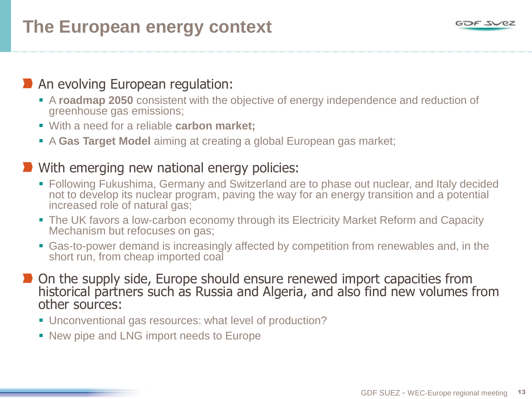## **The European energy context**

### **An evolving European regulation:**

- A **roadmap 2050** consistent with the objective of energy independence and reduction of greenhouse gas emissions;
- With a need for a reliable **carbon market;**
- A **Gas Target Model** aiming at creating a global European gas market;

#### **With emerging new national energy policies:**

- Following Fukushima, Germany and Switzerland are to phase out nuclear, and Italy decided not to develop its nuclear program, paving the way for an energy transition and a potential increased role of natural gas;
- The UK favors a low-carbon economy through its Electricity Market Reform and Capacity Mechanism but refocuses on gas;
- Gas-to-power demand is increasingly affected by competition from renewables and, in the short run, from cheap imported coal
- **D** On the supply side, Europe should ensure renewed import capacities from historical partners such as Russia and Algeria, and also find new volumes from other sources:
	- Unconventional gas resources: what level of production?
	- New pipe and LNG import needs to Europe